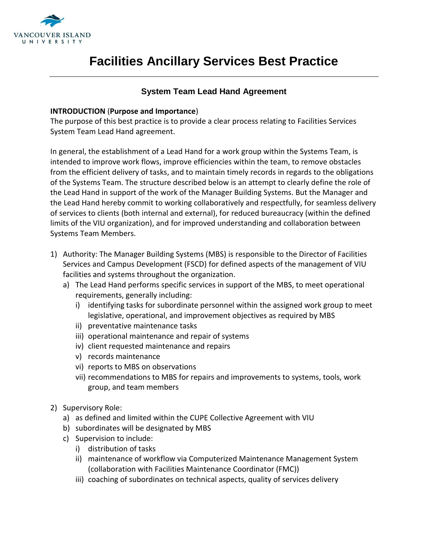

# **Facilities Ancillary Services Best Practice**

### **System Team Lead Hand Agreement**

#### **INTRODUCTION** (**Purpose and Importance**)

The purpose of this best practice is to provide a clear process relating to Facilities Services System Team Lead Hand agreement.

In general, the establishment of a Lead Hand for a work group within the Systems Team, is intended to improve work flows, improve efficiencies within the team, to remove obstacles from the efficient delivery of tasks, and to maintain timely records in regards to the obligations of the Systems Team. The structure described below is an attempt to clearly define the role of the Lead Hand in support of the work of the Manager Building Systems. But the Manager and the Lead Hand hereby commit to working collaboratively and respectfully, for seamless delivery of services to clients (both internal and external), for reduced bureaucracy (within the defined limits of the VIU organization), and for improved understanding and collaboration between Systems Team Members.

- 1) Authority: The Manager Building Systems (MBS) is responsible to the Director of Facilities Services and Campus Development (FSCD) for defined aspects of the management of VIU facilities and systems throughout the organization.
	- a) The Lead Hand performs specific services in support of the MBS, to meet operational requirements, generally including:
		- i) identifying tasks for subordinate personnel within the assigned work group to meet legislative, operational, and improvement objectives as required by MBS
		- ii) preventative maintenance tasks
		- iii) operational maintenance and repair of systems
		- iv) client requested maintenance and repairs
		- v) records maintenance
		- vi) reports to MBS on observations
		- vii) recommendations to MBS for repairs and improvements to systems, tools, work group, and team members
- 2) Supervisory Role:
	- a) as defined and limited within the CUPE Collective Agreement with VIU
	- b) subordinates will be designated by MBS
	- c) Supervision to include:
		- i) distribution of tasks
		- ii) maintenance of workflow via Computerized Maintenance Management System (collaboration with Facilities Maintenance Coordinator (FMC))
		- iii) coaching of subordinates on technical aspects, quality of services delivery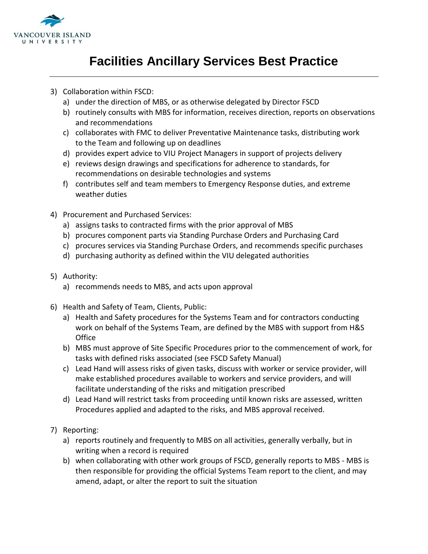

### **Facilities Ancillary Services Best Practice**

- 3) Collaboration within FSCD:
	- a) under the direction of MBS, or as otherwise delegated by Director FSCD
	- b) routinely consults with MBS for information, receives direction, reports on observations and recommendations
	- c) collaborates with FMC to deliver Preventative Maintenance tasks, distributing work to the Team and following up on deadlines
	- d) provides expert advice to VIU Project Managers in support of projects delivery
	- e) reviews design drawings and specifications for adherence to standards, for recommendations on desirable technologies and systems
	- f) contributes self and team members to Emergency Response duties, and extreme weather duties
- 4) Procurement and Purchased Services:
	- a) assigns tasks to contracted firms with the prior approval of MBS
	- b) procures component parts via Standing Purchase Orders and Purchasing Card
	- c) procures services via Standing Purchase Orders, and recommends specific purchases
	- d) purchasing authority as defined within the VIU delegated authorities
- 5) Authority:
	- a) recommends needs to MBS, and acts upon approval
- 6) Health and Safety of Team, Clients, Public:
	- a) Health and Safety procedures for the Systems Team and for contractors conducting work on behalf of the Systems Team, are defined by the MBS with support from H&S **Office**
	- b) MBS must approve of Site Specific Procedures prior to the commencement of work, for tasks with defined risks associated (see FSCD Safety Manual)
	- c) Lead Hand will assess risks of given tasks, discuss with worker or service provider, will make established procedures available to workers and service providers, and will facilitate understanding of the risks and mitigation prescribed
	- d) Lead Hand will restrict tasks from proceeding until known risks are assessed, written Procedures applied and adapted to the risks, and MBS approval received.
- 7) Reporting:
	- a) reports routinely and frequently to MBS on all activities, generally verbally, but in writing when a record is required
	- b) when collaborating with other work groups of FSCD, generally reports to MBS MBS is then responsible for providing the official Systems Team report to the client, and may amend, adapt, or alter the report to suit the situation